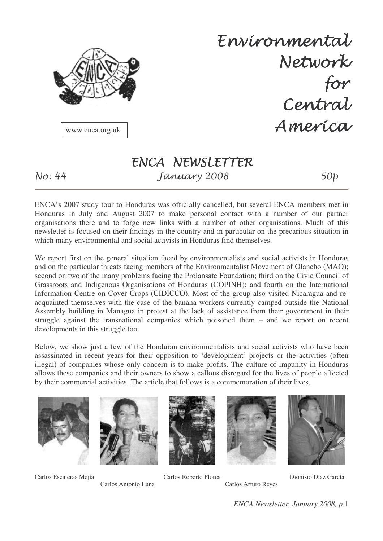

Envíronmental Network for Central America

www.enca.org.uk

 $N\sigma$ : 44

# ENCA NEWSLETTER - ! "

ENCA's 2007 study tour to Honduras was officially cancelled, but several ENCA members met in Honduras in July and August 2007 to make personal contact with a number of our partner organisations there and to forge new links with a number of other organisations. Much of this newsletter is focused on their findings in the country and in particular on the precarious situation in which many environmental and social activists in Honduras find themselves.

We report first on the general situation faced by environmentalists and social activists in Honduras and on the particular threats facing members of the Environmentalist Movement of Olancho (MAO); second on two of the many problems facing the Prolansate Foundation; third on the Civic Council of Grassroots and Indigenous Organisations of Honduras (COPINH); and fourth on the International Information Centre on Cover Crops (CIDICCO). Most of the group also visited Nicaragua and reacquainted themselves with the case of the banana workers currently camped outside the National Assembly building in Managua in protest at the lack of assistance from their government in their struggle against the transnational companies which poisoned them – and we report on recent developments in this struggle too.

Below, we show just a few of the Honduran environmentalists and social activists who have been assassinated in recent years for their opposition to 'development' projects or the activities (often illegal) of companies whose only concern is to make profits. The culture of impunity in Honduras allows these companies and their owners to show a callous disregard for the lives of people affected by their commercial activities. The article that follows is a commemoration of their lives.











Carlos Escaleras Mejía Carlos Roberto Flores Dionisio Díaz García

Carlos Antonio Luna Carlos Arturo Reyes

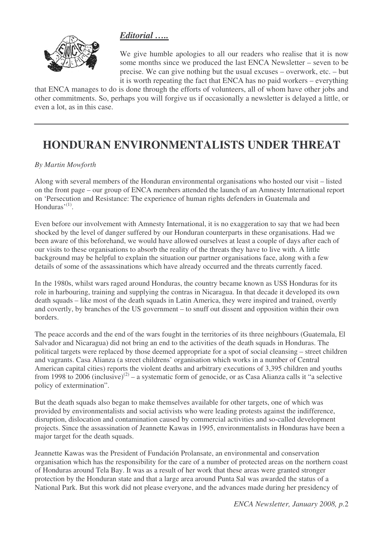#### *Editorial …..*



We give humble apologies to all our readers who realise that it is now some months since we produced the last ENCA Newsletter – seven to be precise. We can give nothing but the usual excuses – overwork, etc. – but it is worth repeating the fact that ENCA has no paid workers – everything

that ENCA manages to do is done through the efforts of volunteers, all of whom have other jobs and other commitments. So, perhaps you will forgive us if occasionally a newsletter is delayed a little, or even a lot, as in this case.

# **HONDURAN ENVIRONMENTALISTS UNDER THREAT**

#### *By Martin Mowforth*

Along with several members of the Honduran environmental organisations who hosted our visit – listed on the front page – our group of ENCA members attended the launch of an Amnesty International report on 'Persecution and Resistance: The experience of human rights defenders in Guatemala and Honduras'<sup>(1)</sup>.

Even before our involvement with Amnesty International, it is no exaggeration to say that we had been shocked by the level of danger suffered by our Honduran counterparts in these organisations. Had we been aware of this beforehand, we would have allowed ourselves at least a couple of days after each of our visits to these organisations to absorb the reality of the threats they have to live with. A little background may be helpful to explain the situation our partner organisations face, along with a few details of some of the assassinations which have already occurred and the threats currently faced.

In the 1980s, whilst wars raged around Honduras, the country became known as USS Honduras for its role in harbouring, training and supplying the contras in Nicaragua. In that decade it developed its own death squads – like most of the death squads in Latin America, they were inspired and trained, overtly and covertly, by branches of the US government – to snuff out dissent and opposition within their own borders.

The peace accords and the end of the wars fought in the territories of its three neighbours (Guatemala, El Salvador and Nicaragua) did not bring an end to the activities of the death squads in Honduras. The political targets were replaced by those deemed appropriate for a spot of social cleansing – street children and vagrants. Casa Alianza (a street childrens' organisation which works in a number of Central American capital cities) reports the violent deaths and arbitrary executions of 3,395 children and youths from 1998 to 2006 (inclusive)<sup>(2)</sup> – a systematic form of genocide, or as Casa Alianza calls it "a selective policy of extermination".

But the death squads also began to make themselves available for other targets, one of which was provided by environmentalists and social activists who were leading protests against the indifference, disruption, dislocation and contamination caused by commercial activities and so-called development projects. Since the assassination of Jeannette Kawas in 1995, environmentalists in Honduras have been a major target for the death squads.

Jeannette Kawas was the President of Fundación Prolansate, an environmental and conservation organisation which has the responsibility for the care of a number of protected areas on the northern coast of Honduras around Tela Bay. It was as a result of her work that these areas were granted stronger protection by the Honduran state and that a large area around Punta Sal was awarded the status of a National Park. But this work did not please everyone, and the advances made during her presidency of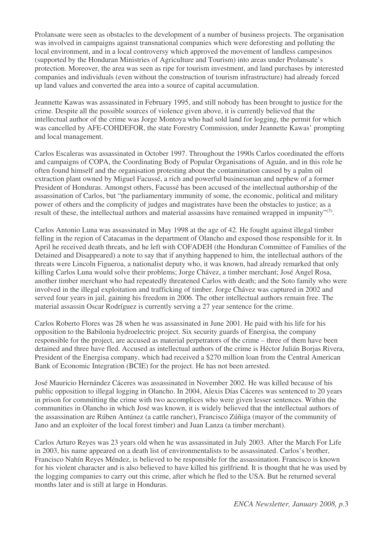Prolansate were seen as obstacles to the development of a number of business projects. The organisation was involved in campaigns against transnational companies which were deforesting and polluting the local environment, and in a local controversy which approved the movement of landless campesinos (supported by the Honduran Ministries of Agriculture and Tourism) into areas under Prolansate's protection. Moreover, the area was seen as ripe for tourism investment, and land purchases by interested companies and individuals (even without the construction of tourism infrastructure) had already forced up land values and converted the area into a source of capital accumulation.

Jeannette Kawas was assassinated in February 1995, and still nobody has been brought to justice for the crime. Despite all the possible sources of violence given above, it is currently believed that the intellectual author of the crime was Jorge Montoya who had sold land for logging, the permit for which was cancelled by AFE-COHDEFOR, the state Forestry Commission, under Jeannette Kawas' prompting and local management.

Carlos Escaleras was assassinated in October 1997. Throughout the 1990s Carlos coordinated the efforts and campaigns of COPA, the Coordinating Body of Popular Organisations of Aguán, and in this role he often found himself and the organisation protesting about the contamination caused by a palm oil extraction plant owned by Miguel Facussé, a rich and powerful businessman and nephew of a former President of Honduras. Amongst others, Facussé has been accused of the intellectual authorship of the assassination of Carlos, but "the parliamentary immunity of some, the economic, political and military power of others and the complicity of judges and magistrates have been the obstacles to justice; as a result of these, the intellectual authors and material assassins have remained wrapped in impunity"<sup>(3)</sup>.

Carlos Antonio Luna was assassinated in May 1998 at the age of 42. He fought against illegal timber felling in the region of Catacamas in the department of Olancho and exposed those responsible for it. In April he received death threats, and he left with COFADEH (the Honduran Committee of Families of the Detained and Disappeared) a note to say that if anything happened to him, the intellectual authors of the threats were Lincoln Figueroa, a nationalist deputy who, it was known, had already remarked that only killing Carlos Luna would solve their problems; Jorge Chávez, a timber merchant; José Angel Rosa, another timber merchant who had repeatedly threatened Carlos with death; and the Soto family who were involved in the illegal exploitation and trafficking of timber. Jorge Chávez was captured in 2002 and served four years in jail, gaining his freedom in 2006. The other intellectual authors remain free. The material assassin Oscar Rodríguez is currently serving a 27 year sentence for the crime.

Carlos Roberto Flores was 28 when he was assassinated in June 2001. He paid with his life for his opposition to the Babilonia hydroelectric project. Six security guards of Energisa, the company responsible for the project, are accused as material perpetrators of the crime – three of them have been detained and three have fled. Accused as intellectual authors of the crime is Héctor Julián Borjas Rivera, President of the Energisa company, which had received a \$270 million loan from the Central American Bank of Economic Integration (BCIE) for the project. He has not been arrested.

José Mauricio Hernández Cáceres was assassinated in November 2002. He was killed because of his public opposition to illegal logging in Olancho. In 2004, Alexis Días Cáceres was sentenced to 20 years in prison for committing the crime with two accomplices who were given lesser sentences. Within the communities in Olancho in which José was known, it is widely believed that the intellectual authors of the assassination are Rúben Antúnez (a cattle rancher), Francisco Zúñiga (mayor of the community of Jano and an exploiter of the local forest timber) and Juan Lanza (a timber merchant).

Carlos Arturo Reyes was 23 years old when he was assassinated in July 2003. After the March For Life in 2003, his name appeared on a death list of environmentalists to be assassinated. Carlos's brother, Francisco Nahín Reyes Méndez, is believed to be responsible for the assassination. Francisco is known for his violent character and is also believed to have killed his girlfriend. It is thought that he was used by the logging companies to carry out this crime, after which he fled to the USA. But he returned several months later and is still at large in Honduras.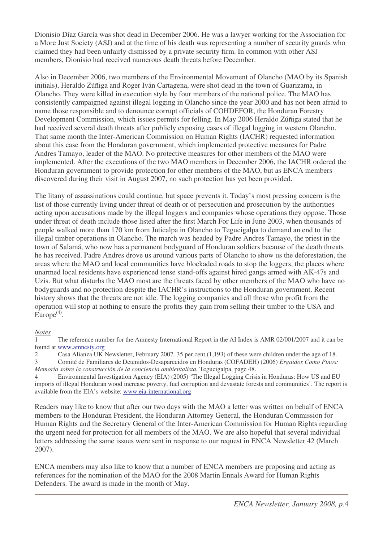Dionisio Díaz García was shot dead in December 2006. He was a lawyer working for the Association for a More Just Society (ASJ) and at the time of his death was representing a number of security guards who claimed they had been unfairly dismissed by a private security firm. In common with other ASJ members, Dionisio had received numerous death threats before December.

Also in December 2006, two members of the Environmental Movement of Olancho (MAO by its Spanish initials), Heraldo Zúñiga and Roger Iván Cartagena, were shot dead in the town of Guarizama, in Olancho. They were killed in execution style by four members of the national police. The MAO has consistently campaigned against illegal logging in Olancho since the year 2000 and has not been afraid to name those responsible and to denounce corrupt officials of COHDEFOR, the Honduran Forestry Development Commission, which issues permits for felling. In May 2006 Heraldo Zúñiga stated that he had received several death threats after publicly exposing cases of illegal logging in western Olancho. That same month the Inter-American Commission on Human Rights (IACHR) requested information about this case from the Honduran government, which implemented protective measures for Padre Andres Tamayo, leader of the MAO. No protective measures for other members of the MAO were implemented. After the executions of the two MAO members in December 2006, the IACHR ordered the Honduran government to provide protection for other members of the MAO, but as ENCA members discovered during their visit in August 2007, no such protection has yet been provided.

The litany of assassinations could continue, but space prevents it. Today's most pressing concern is the list of those currently living under threat of death or of persecution and prosecution by the authorities acting upon accusations made by the illegal loggers and companies whose operations they oppose. Those under threat of death include those listed after the first March For Life in June 2003, when thousands of people walked more than 170 km from Juticalpa in Olancho to Tegucigalpa to demand an end to the illegal timber operations in Olancho. The march was headed by Padre Andres Tamayo, the priest in the town of Salamá, who now has a permanent bodyguard of Honduran soldiers because of the death threats he has received. Padre Andres drove us around various parts of Olancho to show us the deforestation, the areas where the MAO and local communities have blockaded roads to stop the loggers, the places where unarmed local residents have experienced tense stand-offs against hired gangs armed with AK-47s and Uzis. But what disturbs the MAO most are the threats faced by other members of the MAO who have no bodyguards and no protection despite the IACHR's instructions to the Honduran government. Recent history shows that the threats are not idle. The logging companies and all those who profit from the operation will stop at nothing to ensure the profits they gain from selling their timber to the USA and Europe<sup>(4)</sup>.

#### *Notes*

1 The reference number for the Amnesty International Report in the AI Index is AMR 02/001/2007 and it can be found at www.amnesty.org

2 Casa Alianza UK Newsletter, February 2007. 35 per cent (1,193) of these were children under the age of 18. 3 Comité de Familiares de Detenidos-Desaparecidos en Honduras (COFADEH) (2006) *Erguidos Como Pinos: Memoria sobre la construcción de la conciencia ambientalista*, Tegucigalpa, page 48.

4 Environmental Investigation Agency (EIA) (2005) 'The Illegal Logging Crisis in Honduras: How US and EU imports of illegal Honduran wood increase poverty, fuel corruption and devastate forests and communities'. The report is available from the EIA's website: www.eia-international.org

Readers may like to know that after our two days with the MAO a letter was written on behalf of ENCA members to the Honduran President, the Honduran Attorney General, the Honduran Commission for Human Rights and the Secretary General of the Inter-American Commission for Human Rights regarding the urgent need for protection for all members of the MAO. We are also hopeful that several individual letters addressing the same issues were sent in response to our request in ENCA Newsletter 42 (March 2007).

ENCA members may also like to know that a number of ENCA members are proposing and acting as references for the nomination of the MAO for the 2008 Martin Ennals Award for Human Rights Defenders. The award is made in the month of May.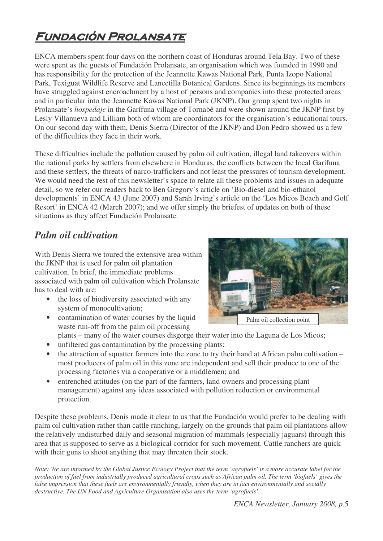# FUNDACIÓN PROLANSATE

ENCA members spent four days on the northern coast of Honduras around Tela Bay. Two of these were spent as the guests of Fundación Prolansate, an organisation which was founded in 1990 and has responsibility for the protection of the Jeannette Kawas National Park, Punta Izopo National Park, Texiguat Wildlife Reserve and Lancetilla Botanical Gardens. Since its beginnings its members have struggled against encroachment by a host of persons and companies into these protected areas and in particular into the Jeannette Kawas National Park (JKNP). Our group spent two nights in Prolansate's *hospedaje* in the Garífuna village of Tornabé and were shown around the JKNP first by Lesly Villanueva and Lilliam both of whom are coordinators for the organisation's educational tours. On our second day with them, Denis Sierra (Director of the JKNP) and Don Pedro showed us a few of the difficulties they face in their work.

These difficulties include the pollution caused by palm oil cultivation, illegal land takeovers within the national parks by settlers from elsewhere in Honduras, the conflicts between the local Garífuna and these settlers, the threats of narco-traffickers and not least the pressures of tourism development. We would need the rest of this newsletter's space to relate all these problems and issues in adequate detail, so we refer our readers back to Ben Gregory's article on 'Bio-diesel and bio-ethanol developments' in ENCA 43 (June 2007) and Sarah Irving's article on the 'Los Micos Beach and Golf Resort' in ENCA 42 (March 2007); and we offer simply the briefest of updates on both of these situations as they affect Fundación Prolansate.

### *Palm oil cultivation*

With Denis Sierra we toured the extensive area within the JKNP that is used for palm oil plantation cultivation. In brief, the immediate problems associated with palm oil cultivation which Prolansate has to deal with are:

• the loss of biodiversity associated with any system of monocultivation;



- contamination of water courses by the liquid waste run-off from the palm oil processing plants – many of the water courses disgorge their water into the Laguna de Los Micos;
- unfiltered gas contamination by the processing plants;
- the attraction of squatter farmers into the zone to try their hand at African palm cultivation most producers of palm oil in this zone are independent and sell their produce to one of the processing factories via a cooperative or a middlemen; and
- entrenched attitudes (on the part of the farmers, land owners and processing plant management) against any ideas associated with pollution reduction or environmental protection.

Despite these problems, Denis made it clear to us that the Fundación would prefer to be dealing with palm oil cultivation rather than cattle ranching, largely on the grounds that palm oil plantations allow the relatively undisturbed daily and seasonal migration of mammals (especially jaguars) through this area that is supposed to serve as a biological corridor for such movement. Cattle ranchers are quick with their guns to shoot anything that may threaten their stock.

Note: We are informed by the Global Justice Ecology Project that the term 'agrofuels' is a more accurate label for the production of fuel from industrially produced agricultural crops such as African palm oil. The term 'biofuels' gives the false impression that these fuels are environmentally friendly, when they are in fact environmentally and socially *destructive. The UN Food and Agriculture Organisation also uses the term 'agrofuels'.*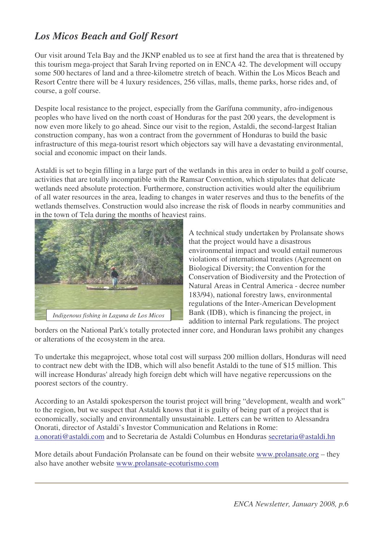## *Los Micos Beach and Golf Resort*

Our visit around Tela Bay and the JKNP enabled us to see at first hand the area that is threatened by this tourism mega-project that Sarah Irving reported on in ENCA 42. The development will occupy some 500 hectares of land and a three-kilometre stretch of beach. Within the Los Micos Beach and Resort Centre there will be 4 luxury residences, 256 villas, malls, theme parks, horse rides and, of course, a golf course.

Despite local resistance to the project, especially from the Garífuna community, afro-indigenous peoples who have lived on the north coast of Honduras for the past 200 years, the development is now even more likely to go ahead. Since our visit to the region, Astaldi, the second-largest Italian construction company, has won a contract from the government of Honduras to build the basic infrastructure of this mega-tourist resort which objectors say will have a devastating environmental, social and economic impact on their lands.

Astaldi is set to begin filling in a large part of the wetlands in this area in order to build a golf course, activities that are totally incompatible with the Ramsar Convention, which stipulates that delicate wetlands need absolute protection. Furthermore, construction activities would alter the equilibrium of all water resources in the area, leading to changes in water reserves and thus to the benefits of the wetlands themselves. Construction would also increase the risk of floods in nearby communities and in the town of Tela during the months of heaviest rains.



A technical study undertaken by Prolansate shows that the project would have a disastrous environmental impact and would entail numerous violations of international treaties (Agreement on Biological Diversity; the Convention for the Conservation of Biodiversity and the Protection of Natural Areas in Central America - decree number 183/94), national forestry laws, environmental regulations of the Inter-American Development Bank (IDB), which is financing the project, in addition to internal Park regulations. The project

borders on the National Park's totally protected inner core, and Honduran laws prohibit any changes or alterations of the ecosystem in the area.

To undertake this megaproject, whose total cost will surpass 200 million dollars, Honduras will need to contract new debt with the IDB, which will also benefit Astaldi to the tune of \$15 million. This will increase Honduras'already high foreign debt which will have negative repercussions on the poorest sectors of the country.

According to an Astaldi spokesperson the tourist project will bring "development, wealth and work" to the region, but we suspect that Astaldi knows that it is guilty of being part of a project that is economically, socially and environmentally unsustainable. Letters can be written to Alessandra Onorati, director of Astaldi's Investor Communication and Relations in Rome: a.onorati@astaldi.com and to Secretaria de Astaldi Columbus en Honduras secretaria@astaldi.hn

More details about Fundación Prolansate can be found on their website www.prolansate.org – they also have another website www.prolansate-ecoturismo.com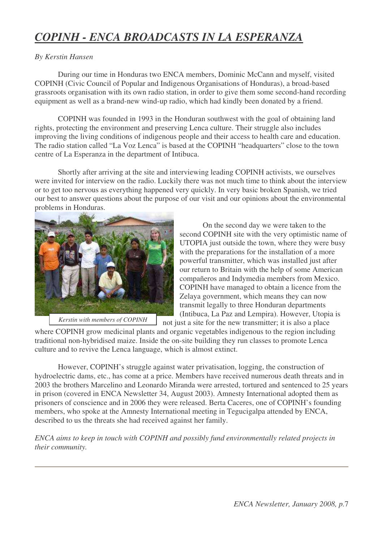# *COPINH - ENCA BROADCASTS IN LA ESPERANZA*

#### *By Kerstin Hansen*

During our time in Honduras two ENCA members, Dominic McCann and myself, visited COPINH (Civic Council of Popular and Indigenous Organisations of Honduras), a broad-based grassroots organisation with its own radio station, in order to give them some second-hand recording equipment as well as a brand-new wind-up radio, which had kindly been donated by a friend.

COPINH was founded in 1993 in the Honduran southwest with the goal of obtaining land rights, protecting the environment and preserving Lenca culture. Their struggle also includes improving the living conditions of indigenous people and their access to health care and education. The radio station called "La Voz Lenca" is based at the COPINH "headquarters" close to the town centre of La Esperanza in the department of Intibuca.

Shortly after arriving at the site and interviewing leading COPINH activists, we ourselves were invited for interview on the radio. Luckily there was not much time to think about the interview or to get too nervous as everything happened very quickly. In very basic broken Spanish, we tried our best to answer questions about the purpose of our visit and our opinions about the environmental problems in Honduras.



*Kerstin with members of COPINH*

On the second day we were taken to the second COPINH site with the very optimistic name of UTOPIA just outside the town, where they were busy with the preparations for the installation of a more powerful transmitter, which was installed just after our return to Britain with the help of some American compañeros and Indymedia members from Mexico. COPINH have managed to obtain a licence from the Zelaya government, which means they can now transmit legally to three Honduran departments (Intibuca, La Paz and Lempira). However, Utopia is not just a site for the new transmitter; it is also a place

where COPINH grow medicinal plants and organic vegetables indigenous to the region including traditional non-hybridised maize. Inside the on-site building they run classes to promote Lenca culture and to revive the Lenca language, which is almost extinct.

However, COPINH's struggle against water privatisation, logging, the construction of hydroelectric dams, etc., has come at a price. Members have received numerous death threats and in 2003 the brothers Marcelino and Leonardo Miranda were arrested, tortured and sentenced to 25 years in prison (covered in ENCA Newsletter 34, August 2003). Amnesty International adopted them as prisoners of conscience and in 2006 they were released. Berta Caceres, one of COPINH's founding members, who spoke at the Amnesty International meeting in Tegucigalpa attended by ENCA, described to us the threats she had received against her family.

*ENCA aims to keep in touch with COPINH and possibly fund environmentally related projects in their community.*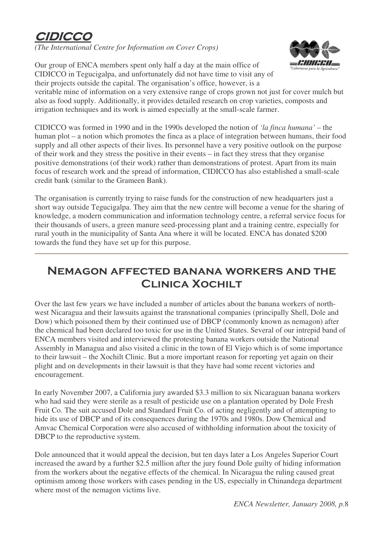# CIDIC

*(The International Centre for Information on Cover Crops)*

Our group of ENCA members spent only half a day at the main office of CIDICCO in Tegucigalpa, and unfortunately did not have time to visit any of their projects outside the capital. The organisation's office, however, is a



veritable mine of information on a very extensive range of crops grown not just for cover mulch but also as food supply. Additionally, it provides detailed research on crop varieties, composts and irrigation techniques and its work is aimed especially at the small-scale farmer.

CIDICCO was formed in 1990 and in the 1990s developed the notion of *'la finca humana'* – the human plot – a notion which promotes the finca as a place of integration between humans, their food supply and all other aspects of their lives. Its personnel have a very positive outlook on the purpose of their work and they stress the positive in their events – in fact they stress that they organise positive demonstrations (of their work) rather than demonstrations of protest. Apart from its main focus of research work and the spread of information, CIDICCO has also established a small-scale credit bank (similar to the Grameen Bank).

The organisation is currently trying to raise funds for the construction of new headquarters just a short way outside Tegucigalpa. They aim that the new centre will become a venue for the sharing of knowledge, a modern communication and information technology centre, a referral service focus for their thousands of users, a green manure seed-processing plant and a training centre, especially for rural youth in the municipality of Santa Ana where it will be located. ENCA has donated \$200 towards the fund they have set up for this purpose.

## **NEMAGON AFFECTED BANANA WORKERS AND THE CLINICA XOCHILT**

Over the last few years we have included a number of articles about the banana workers of northwest Nicaragua and their lawsuits against the transnational companies (principally Shell, Dole and Dow) which poisoned them by their continued use of DBCP (commonly known as nemagon) after the chemical had been declared too toxic for use in the United States. Several of our intrepid band of ENCA members visited and interviewed the protesting banana workers outside the National Assembly in Managua and also visited a clinic in the town of El Viejo which is of some importance to their lawsuit – the Xochilt Clinic. But a more important reason for reporting yet again on their plight and on developments in their lawsuit is that they have had some recent victories and encouragement.

In early November 2007, a California jury awarded \$3.3 million to six Nicaraguan banana workers who had said they were sterile as a result of pesticide use on a plantation operated by Dole Fresh Fruit Co. The suit accused Dole and Standard Fruit Co. of acting negligently and of attempting to hide its use of DBCP and of its consequences during the 1970s and 1980s. Dow Chemical and Amvac Chemical Corporation were also accused of withholding information about the toxicity of DBCP to the reproductive system.

Dole announced that it would appeal the decision, but ten days later a Los Angeles Superior Court increased the award by a further \$2.5 million after the jury found Dole guilty of hiding information from the workers about the negative effects of the chemical. In Nicaragua the ruling caused great optimism among those workers with cases pending in the US, especially in Chinandega department where most of the nemagon victims live.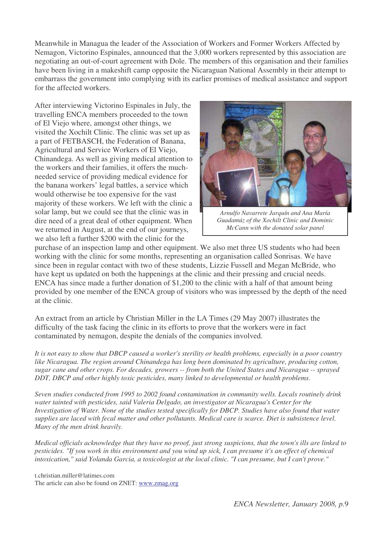Meanwhile in Managua the leader of the Association of Workers and Former Workers Affected by Nemagon, Victorino Espinales, announced that the 3,000 workers represented by this association are negotiating an out-of-court agreement with Dole. The members of this organisation and their families have been living in a makeshift camp opposite the Nicaraguan National Assembly in their attempt to embarrass the government into complying with its earlier promises of medical assistance and support for the affected workers.

After interviewing Victorino Espinales in July, the travelling ENCA members proceeded to the town of El Viejo where, amongst other things, we visited the Xochilt Clinic. The clinic was set up as a part of FETBASCH, the Federation of Banana, Agricultural and Service Workers of El Viejo, Chinandega. As well as giving medical attention to the workers and their families, it offers the muchneeded service of providing medical evidence for the banana workers' legal battles, a service which would otherwise be too expensive for the vast majority of these workers. We left with the clinic a solar lamp, but we could see that the clinic was in dire need of a great deal of other equipment. When we returned in August, at the end of our journeys, we also left a further \$200 with the clinic for the



*Arnulfo Navarrete Jarquín and Ana María Guadamúz of the Xochilt Clinic and Dominic McCann with the donated solar panel*

purchase of an inspection lamp and other equipment. We also met three US students who had been working with the clinic for some months, representing an organisation called Sonrisas. We have since been in regular contact with two of these students, Lizzie Fussell and Megan McBride, who have kept us updated on both the happenings at the clinic and their pressing and crucial needs. ENCA has since made a further donation of \$1,200 to the clinic with a half of that amount being provided by one member of the ENCA group of visitors who was impressed by the depth of the need at the clinic.

An extract from an article by Christian Miller in the LA Times (29 May 2007) illustrates the difficulty of the task facing the clinic in its efforts to prove that the workers were in fact contaminated by nemagon, despite the denials of the companies involved.

It is not easy to show that DBCP caused a worker's sterility or health problems, especially in a poor country *like Nicaragua. The region around Chinandega has long been dominated by agriculture, producing cotton,* sugar cane and other crops. For decades, growers -- from both the United States and Nicaragua -- sprayed *DDT, DBCP and other highly toxic pesticides, many linked to developmental or health problems.*

*Seven studies conducted from 1995 to 2002 found contamination in community wells. Locals routinely drink water tainted with pesticides, said Valeria Delgado, an investigator at Nicaragua's Center for the* Investigation of Water. None of the studies tested specifically for DBCP. Studies have also found that water supplies are laced with fecal matter and other pollutants. Medical care is scarce. Diet is subsistence level. *Many of the men drink heavily.*

Medical officials acknowledge that they have no proof, just strong suspicions, that the town's ills are linked to pesticides. "If you work in this environment and you wind up sick, I can presume it's an effect of chemical intoxication," said Yolanda Garcia, a toxicologist at the local clinic. "I can presume, but I can't prove."

t.christian.miller@latimes.com The article can also be found on ZNET: www.zmag.org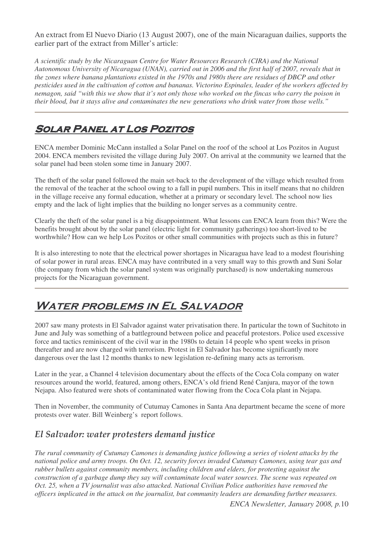An extract from El Nuevo Diario (13 August 2007), one of the main Nicaraguan dailies, supports the earlier part of the extract from Miller's article:

*A scientific study by the Nicaraguan Centre for Water Resources Research (CIRA) and the National* Autonomous University of Nicaragua (UNAN), carried out in 2006 and the first half of 2007, reveals that in the zones where banana plantations existed in the 1970s and 1980s there are residues of DBCP and other pesticides used in the cultivation of cotton and bananas. Victorino Espinales, leader of the workers affected by nemagon, said "with this we show that it's not only those who worked on the fincas who carry the poison in *their blood, but it stays alive and contaminates the new generations who drink water from those wells."*

## **SOLAR PANEL AT LOS POZITOS**

ENCA member Dominic McCann installed a Solar Panel on the roof of the school at Los Pozitos in August 2004. ENCA members revisited the village during July 2007. On arrival at the community we learned that the solar panel had been stolen some time in January 2007.

The theft of the solar panel followed the main set-back to the development of the village which resulted from the removal of the teacher at the school owing to a fall in pupil numbers. This in itself means that no children in the village receive any formal education, whether at a primary or secondary level. The school now lies empty and the lack of light implies that the building no longer serves as a community centre.

Clearly the theft of the solar panel is a big disappointment. What lessons can ENCA learn from this? Were the benefits brought about by the solar panel (electric light for community gatherings) too short-lived to be worthwhile? How can we help Los Pozitos or other small communities with projects such as this in future?

It is also interesting to note that the electrical power shortages in Nicaragua have lead to a modest flourishing of solar power in rural areas. ENCA may have contributed in a very small way to this growth and Suni Solar (the company from which the solar panel system was originally purchased) is now undertaking numerous projects for the Nicaraguan government.

# WATER PROBLEMS IN EL SALVADOR

2007 saw many protests in El Salvador against water privatisation there. In particular the town of Suchitoto in June and July was something of a battleground between police and peaceful protestors. Police used excessive force and tactics reminiscent of the civil war in the 1980s to detain 14 people who spent weeks in prison thereafter and are now charged with terrorism. Protest in El Salvador has become significantly more dangerous over the last 12 months thanks to new legislation re-defining many acts as terrorism.

Later in the year, a Channel 4 television documentary about the effects of the Coca Cola company on water resources around the world, featured, among others, ENCA's old friend René Canjura, mayor of the town Nejapa. Also featured were shots of contaminated water flowing from the Coca Cola plant in Nejapa.

Then in November, the community of Cutumay Camones in Santa Ana department became the scene of more protests over water. Bill Weinberg's report follows.

### El Salvador: water protesters demand justice

*The rural community of Cutumay Camones is demanding justice following a series of violent attacks by the national police and army troops. On Oct. 12, security forces invaded Cutumay Camones, using tear gas and rubber bullets against community members, including children and elders, for protesting against the construction of a garbage dump they say will contaminate local water sources. The scene was repeated on Oct. 25, when a TV journalist was also attacked. National Civilian Police authorities have removed the officers implicated in the attack on the journalist, but community leaders are demanding further measures.*

*ENCA Newsletter, January 2008, p.*10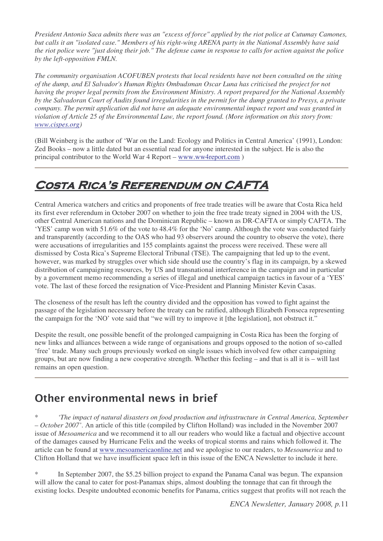President Antonio Saca admits there was an "excess of force" applied by the riot police at Cutumay Camones, but calls it an "isolated case." Members of his right-wing ARENA party in the National Assembly have said the riot police were "just doing their job." The defense came in response to calls for action against the police *by the left-opposition FMLN.*

*The community organisation ACOFUBEN protests that local residents have not been consulted on the siting of the dump, and El Salvador's Human Rights Ombudsman Oscar Luna has criticised the project for not having the proper legal permits from the Environment Ministry. A report prepared for the National Assembly* by the Salvadoran Court of Audits found irregularities in the permit for the dump granted to Presys, a private *company. The permit application did not have an adequate environmental impact report and was granted in violation of Article 25 of the Environmental Law, the report found. (More information on this story from: www.cispes.org)*

(Bill Weinberg is the author of 'War on the Land: Ecology and Politics in Central America' (1991), London: Zed Books – now a little dated but an essential read for anyone interested in the subject. He is also the principal contributor to the World War 4 Report – www.ww4report.com )

# COSTA RICA'S REFERENDUM ON CAFTA

Central America watchers and critics and proponents of free trade treaties will be aware that Costa Rica held its first ever referendum in October 2007 on whether to join the free trade treaty signed in 2004 with the US, other Central American nations and the Dominican Republic – known as DR-CAFTA or simply CAFTA. The 'YES' camp won with 51.6% of the vote to 48.4% for the 'No' camp. Although the vote was conducted fairly and transparently (according to the OAS who had 93 observers around the country to observe the vote), there were accusations of irregularities and 155 complaints against the process were received. These were all dismissed by Costa Rica's Supreme Electoral Tribunal (TSE). The campaigning that led up to the event, however, was marked by struggles over which side should use the country's flag in its campaign, by a skewed distribution of campaigning resources, by US and transnational interference in the campaign and in particular by a government memo recommending a series of illegal and unethical campaign tactics in favour of a 'YES' vote. The last of these forced the resignation of Vice-President and Planning Minister Kevin Casas.

The closeness of the result has left the country divided and the opposition has vowed to fight against the passage of the legislation necessary before the treaty can be ratified, although Elizabeth Fonseca representing the campaign for the 'NO' vote said that "we will try to improve it [the legislation], not obstruct it."

Despite the result, one possible benefit of the prolonged campaigning in Costa Rica has been the forging of new links and alliances between a wide range of organisations and groups opposed to the notion of so-called 'free' trade. Many such groups previously worked on single issues which involved few other campaigning groups, but are now finding a new cooperative strength. Whether this feeling – and that is all it is – will last remains an open question.

## Other environmental news in brief

\* *'The impact of natural disasters on food production and infrastructure in Central America, September – October 2007'*. An article of this title (compiled by Clifton Holland) was included in the November 2007 issue of *Mesoamerica* and we recommend it to all our readers who would like a factual and objective account of the damages caused by Hurricane Felix and the weeks of tropical storms and rains which followed it. The article can be found at www.mesoamericaonline.net and we apologise to our readers, to *Mesoamerica* and to Clifton Holland that we have insufficient space left in this issue of the ENCA Newsletter to include it here.

In September 2007, the \$5.25 billion project to expand the Panama Canal was begun. The expansion will allow the canal to cater for post-Panamax ships, almost doubling the tonnage that can fit through the existing locks. Despite undoubted economic benefits for Panama, critics suggest that profits will not reach the